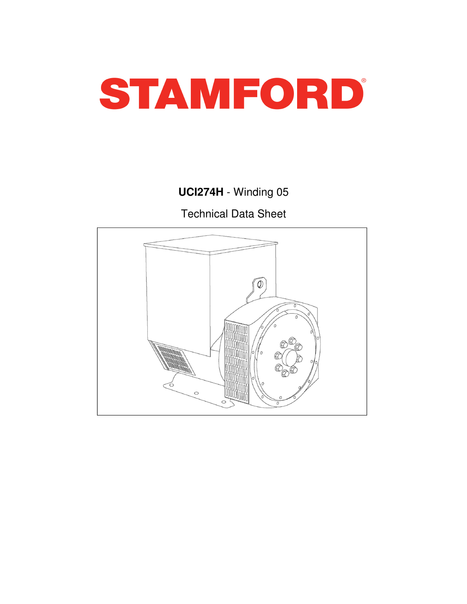

# **UCI274H** - Winding 05

Technical Data Sheet

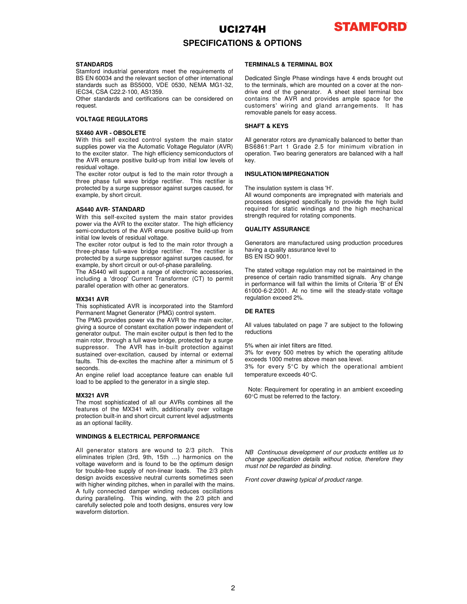

### **SPECIFICATIONS & OPTIONS**

#### **STANDARDS**

Stamford industrial generators meet the requirements of BS EN 60034 and the relevant section of other international standards such as BS5000, VDE 0530, NEMA MG1-32, IEC34, CSA C22.2-100, AS1359.

Other standards and certifications can be considered on request.

#### **VOLTAGE REGULATORS**

#### **SX460 AVR - OBSOLETE**

With this self excited control system the main stator supplies power via the Automatic Voltage Regulator (AVR) to the exciter stator. The high efficiency semiconductors of the AVR ensure positive build-up from initial low levels of residual voltage.

The exciter rotor output is fed to the main rotor through a three phase full wave bridge rectifier. This rectifier is protected by a surge suppressor against surges caused, for example, by short circuit.

#### **AS440 AVR**- STANDARD

With this self-excited system the main stator provides power via the AVR to the exciter stator. The high efficiency semi-conductors of the AVR ensure positive build-up from initial low levels of residual voltage.

The exciter rotor output is fed to the main rotor through a three-phase full-wave bridge rectifier. The rectifier is protected by a surge suppressor against surges caused, for example, by short circuit or out-of-phase paralleling.

The AS440 will support a range of electronic accessories, including a 'droop' Current Transformer (CT) to permit parallel operation with other ac generators.

#### **MX341 AVR**

This sophisticated AVR is incorporated into the Stamford Permanent Magnet Generator (PMG) control system.

The PMG provides power via the AVR to the main exciter, giving a source of constant excitation power independent of generator output. The main exciter output is then fed to the main rotor, through a full wave bridge, protected by a surge suppressor. The AVR has in-built protection against sustained over-excitation, caused by internal or external faults. This de-excites the machine after a minimum of 5 seconds.

An engine relief load acceptance feature can enable full load to be applied to the generator in a single step.

#### **MX321 AVR**

The most sophisticated of all our AVRs combines all the features of the MX341 with, additionally over voltage protection built-in and short circuit current level adjustments as an optional facility.

#### **WINDINGS & ELECTRICAL PERFORMANCE**

All generator stators are wound to 2/3 pitch. This eliminates triplen (3rd, 9th, 15th …) harmonics on the voltage waveform and is found to be the optimum design for trouble-free supply of non-linear loads. The 2/3 pitch design avoids excessive neutral currents sometimes seen with higher winding pitches, when in parallel with the mains. A fully connected damper winding reduces oscillations during paralleling. This winding, with the 2/3 pitch and carefully selected pole and tooth designs, ensures very low waveform distortion.

#### **TERMINALS & TERMINAL BOX**

Dedicated Single Phase windings have 4 ends brought out to the terminals, which are mounted on a cover at the nondrive end of the generator. A sheet steel terminal box contains the AVR and provides ample space for the customers' wiring and gland arrangements. It has removable panels for easy access.

### **SHAFT & KEYS**

All generator rotors are dynamically balanced to better than BS6861:Part 1 Grade 2.5 for minimum vibration in operation. Two bearing generators are balanced with a half key.

#### **INSULATION/IMPREGNATION**

The insulation system is class 'H'.

All wound components are impregnated with materials and processes designed specifically to provide the high build required for static windings and the high mechanical strength required for rotating components.

#### **QUALITY ASSURANCE**

Generators are manufactured using production procedures having a quality assurance level to BS EN ISO 9001.

The stated voltage regulation may not be maintained in the presence of certain radio transmitted signals. Any change in performance will fall within the limits of Criteria 'B' of EN 61000-6-2:2001. At no time will the steady-state voltage regulation exceed 2%.

#### **DE RATES**

All values tabulated on page 7 are subject to the following reductions

5% when air inlet filters are fitted.

3% for every 500 metres by which the operating altitude exceeds 1000 metres above mean sea level.

3% for every 5°C by which the operational ambient temperature exceeds 40°C.

Note: Requirement for operating in an ambient exceeding 60°C must be referred to the factory.

NB Continuous development of our products entitles us to change specification details without notice, therefore they must not be regarded as binding.

Front cover drawing typical of product range.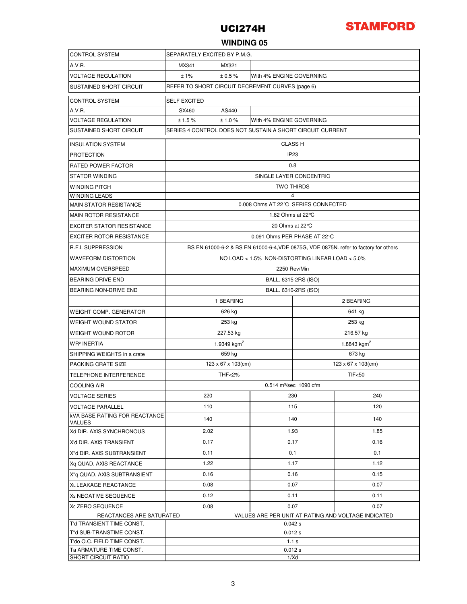

### **WINDING 05**

| <b>CONTROL SYSTEM</b>                                  | SEPARATELY EXCITED BY P.M.G.                                                         |                         |                          |                         |      |  |  |  |  |
|--------------------------------------------------------|--------------------------------------------------------------------------------------|-------------------------|--------------------------|-------------------------|------|--|--|--|--|
| A.V.R.                                                 | MX341<br>MX321                                                                       |                         |                          |                         |      |  |  |  |  |
| <b>VOLTAGE REGULATION</b>                              | ±1%<br>± 0.5%<br>With 4% ENGINE GOVERNING                                            |                         |                          |                         |      |  |  |  |  |
| <b>SUSTAINED SHORT CIRCUIT</b>                         | REFER TO SHORT CIRCUIT DECREMENT CURVES (page 6)                                     |                         |                          |                         |      |  |  |  |  |
| <b>CONTROL SYSTEM</b>                                  | <b>SELF EXCITED</b>                                                                  |                         |                          |                         |      |  |  |  |  |
| A.V.R.                                                 | SX460                                                                                | AS440                   |                          |                         |      |  |  |  |  |
| <b>VOLTAGE REGULATION</b>                              | ±1.5%                                                                                | ±1.0%                   | With 4% ENGINE GOVERNING |                         |      |  |  |  |  |
| SUSTAINED SHORT CIRCUIT                                | SERIES 4 CONTROL DOES NOT SUSTAIN A SHORT CIRCUIT CURRENT                            |                         |                          |                         |      |  |  |  |  |
| <b>INSULATION SYSTEM</b>                               | <b>CLASS H</b>                                                                       |                         |                          |                         |      |  |  |  |  |
| <b>PROTECTION</b>                                      | IP <sub>23</sub>                                                                     |                         |                          |                         |      |  |  |  |  |
| <b>RATED POWER FACTOR</b>                              | 0.8                                                                                  |                         |                          |                         |      |  |  |  |  |
| <b>STATOR WINDING</b>                                  | SINGLE LAYER CONCENTRIC                                                              |                         |                          |                         |      |  |  |  |  |
| <b>WINDING PITCH</b>                                   | <b>TWO THIRDS</b>                                                                    |                         |                          |                         |      |  |  |  |  |
| <b>WINDING LEADS</b>                                   | 4                                                                                    |                         |                          |                         |      |  |  |  |  |
| <b>MAIN STATOR RESISTANCE</b>                          | 0.008 Ohms AT 22℃ SERIES CONNECTED                                                   |                         |                          |                         |      |  |  |  |  |
| <b>MAIN ROTOR RESISTANCE</b>                           | 1.82 Ohms at 22 °C                                                                   |                         |                          |                         |      |  |  |  |  |
| <b>EXCITER STATOR RESISTANCE</b>                       | 20 Ohms at 22 ℃                                                                      |                         |                          |                         |      |  |  |  |  |
| <b>EXCITER ROTOR RESISTANCE</b>                        | 0.091 Ohms PER PHASE AT 22 ℃                                                         |                         |                          |                         |      |  |  |  |  |
| <b>R.F.I. SUPPRESSION</b>                              | BS EN 61000-6-2 & BS EN 61000-6-4, VDE 0875G, VDE 0875N. refer to factory for others |                         |                          |                         |      |  |  |  |  |
| <b>WAVEFORM DISTORTION</b>                             | NO LOAD < 1.5% NON-DISTORTING LINEAR LOAD < 5.0%                                     |                         |                          |                         |      |  |  |  |  |
| <b>MAXIMUM OVERSPEED</b>                               | 2250 Rev/Min                                                                         |                         |                          |                         |      |  |  |  |  |
| <b>BEARING DRIVE END</b>                               | BALL. 6315-2RS (ISO)                                                                 |                         |                          |                         |      |  |  |  |  |
| <b>BEARING NON-DRIVE END</b>                           | BALL. 6310-2RS (ISO)                                                                 |                         |                          |                         |      |  |  |  |  |
|                                                        | 1 BEARING<br>2 BEARING                                                               |                         |                          |                         |      |  |  |  |  |
| <b>WEIGHT COMP. GENERATOR</b>                          |                                                                                      | 626 kg                  |                          | 641 kg                  |      |  |  |  |  |
| <b>WEIGHT WOUND STATOR</b>                             |                                                                                      | 253 kg                  |                          | 253 kg                  |      |  |  |  |  |
| <b>WEIGHT WOUND ROTOR</b>                              |                                                                                      | 227.53 kg               |                          | 216.57 kg               |      |  |  |  |  |
| <b>WR<sup>2</sup> INERTIA</b>                          |                                                                                      | 1.9349 kgm <sup>2</sup> |                          | 1.8843 kgm <sup>2</sup> |      |  |  |  |  |
| SHIPPING WEIGHTS in a crate                            |                                                                                      | 659 kg                  |                          | 673 kg                  |      |  |  |  |  |
| PACKING CRATE SIZE                                     |                                                                                      | 123 x 67 x 103(cm)      |                          | 123 x 67 x 103(cm)      |      |  |  |  |  |
| <b>TELEPHONE INTERFERENCE</b>                          | <b>THF&lt;2%</b><br><b>TIF&lt;50</b>                                                 |                         |                          |                         |      |  |  |  |  |
| <b>COOLING AIR</b>                                     | 0.514 m <sup>3</sup> /sec 1090 cfm                                                   |                         |                          |                         |      |  |  |  |  |
| <b>VOLTAGE SERIES</b>                                  | 220                                                                                  |                         |                          | 230                     | 240  |  |  |  |  |
| <b>VOLTAGE PARALLEL</b>                                | 110                                                                                  |                         | 115                      |                         | 120  |  |  |  |  |
| <b>kVA BASE RATING FOR REACTANCE</b><br><b>VALUES</b>  | 140                                                                                  |                         | 140                      |                         | 140  |  |  |  |  |
| Xd DIR. AXIS SYNCHRONOUS                               | 2.02                                                                                 |                         | 1.93                     |                         | 1.85 |  |  |  |  |
| X'd DIR. AXIS TRANSIENT                                | 0.17                                                                                 |                         | 0.17                     |                         | 0.16 |  |  |  |  |
| X"d DIR. AXIS SUBTRANSIENT                             | 0.11                                                                                 |                         | 0.1                      |                         | 0.1  |  |  |  |  |
| Xq QUAD. AXIS REACTANCE                                | 1.22                                                                                 |                         | 1.17                     |                         | 1.12 |  |  |  |  |
| X"q QUAD. AXIS SUBTRANSIENT                            | 0.16                                                                                 |                         | 0.16                     |                         | 0.15 |  |  |  |  |
| XL LEAKAGE REACTANCE                                   | 0.08                                                                                 |                         | 0.07                     |                         | 0.07 |  |  |  |  |
| X <sub>2</sub> NEGATIVE SEQUENCE                       | 0.12                                                                                 |                         | 0.11                     |                         | 0.11 |  |  |  |  |
| X <sub>0</sub> ZERO SEQUENCE                           | 0.08                                                                                 |                         | 0.07                     |                         | 0.07 |  |  |  |  |
| REACTANCES ARE SATURATED                               | VALUES ARE PER UNIT AT RATING AND VOLTAGE INDICATED                                  |                         |                          |                         |      |  |  |  |  |
| T'd TRANSIENT TIME CONST.                              | 0.042 s                                                                              |                         |                          |                         |      |  |  |  |  |
| T"d SUB-TRANSTIME CONST.                               | 0.012 s                                                                              |                         |                          |                         |      |  |  |  |  |
| T'do O.C. FIELD TIME CONST.<br>Ta ARMATURE TIME CONST. | 1.1 s<br>0.012 s                                                                     |                         |                          |                         |      |  |  |  |  |
| SHORT CIRCUIT RATIO                                    | 1/Xd                                                                                 |                         |                          |                         |      |  |  |  |  |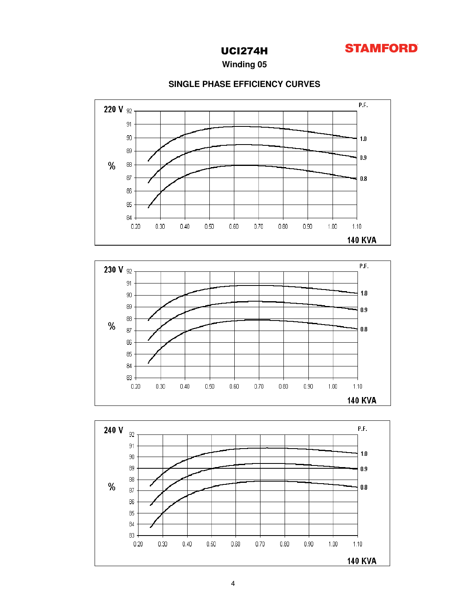

**Winding 05**



### **SINGLE PHASE EFFICIENCY CURVES**

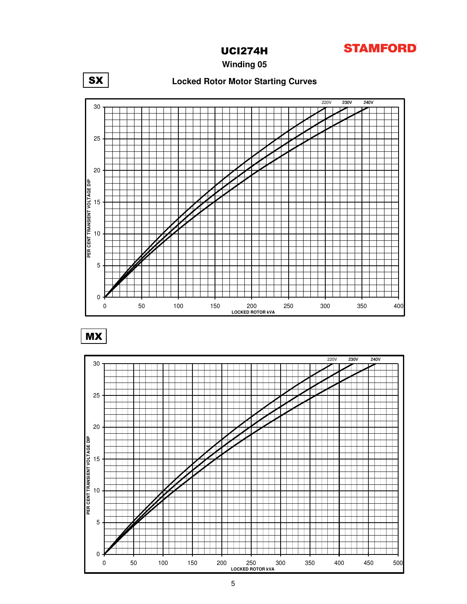

**Winding 05**





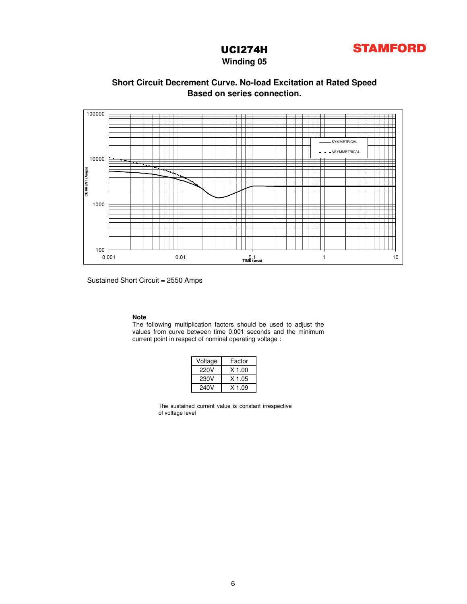

**Winding 05**

### **Based on series connection. Short Circuit Decrement Curve. No-load Excitation at Rated Speed**



Sustained Short Circuit = 2550 Amps

### **Note**

The following multiplication factors should be used to adjust the values from curve between time 0.001 seconds and the minimum current point in respect of nominal operating voltage :

| Voltage | Factor   |  |  |  |  |  |
|---------|----------|--|--|--|--|--|
| 220V    | $X$ 1.00 |  |  |  |  |  |
| 230V    | $X$ 1.05 |  |  |  |  |  |
| 240V    | X 1.09   |  |  |  |  |  |

The sustained current value is constant irrespective of voltage level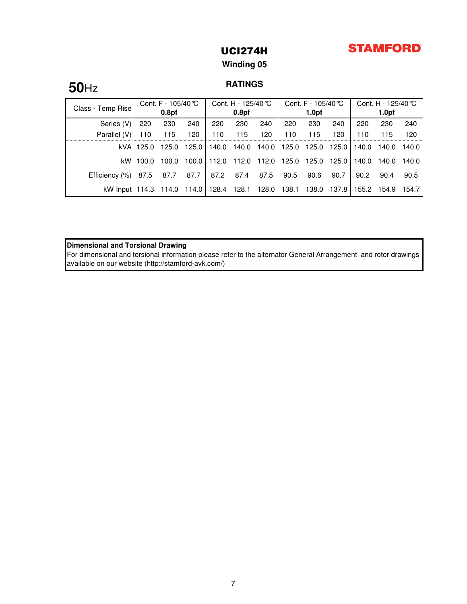## **STAMFORD**

### UCI274H

### **Winding 05**

# **RATINGS 50**Hz

| Class - Temp Rise                  | Cont. F - 105/40 ℃ |                   | Cont. H - 125/40 ℃     |             | Cont. F - 105/40 °C |       |       | Cont. H - 125/40 ℃ |       |       |                   |       |
|------------------------------------|--------------------|-------------------|------------------------|-------------|---------------------|-------|-------|--------------------|-------|-------|-------------------|-------|
|                                    |                    | 0.8 <sub>pf</sub> |                        |             | 0.8 <sub>pf</sub>   |       |       | 1.0 <sub>pf</sub>  |       |       | 1.0 <sub>pf</sub> |       |
| Series (V)                         | 220                | 230               | 240                    | 220         | 230                 | 240   | 220   | 230                | 240   | 220   | 230               | 240   |
| Parallel (V)                       | 110                | 115               | 120                    | 110         | 115                 | 120   | 110   | 115                | 120   | 110   | 115               | 120   |
| kVAI                               | 125.0              | 125.0             | $125.0$ $\blacksquare$ | 140.0       | 140.0               | 140.0 | 125.0 | 125.0              | 125.0 | 140.0 | 140.0             | 140.0 |
| kW <sup>1</sup>                    | 100.0              | 100.0             |                        | 100.0 112.0 | 112.0               | 112.0 | 125.0 | 125.0              | 125.0 | 140.0 | 140.0             | 140.0 |
| Efficiency (%)                     | 87.5               | 87.7              | 87.7                   | 87.2        | 87.4                | 87.5  | 90.5  | 90.6               | 90.7  | 90.2  | 90.4              | 90.5  |
| kW Input 114.3 114.0 114.0   128.4 |                    |                   |                        |             | 128.1               | 128.0 | 138.1 | 138.0              | 137.8 | 155.2 | 154.9             | 154.7 |

**Dimensional and Torsional Drawing**

For dimensional and torsional information please refer to the alternator General Arrangement and rotor drawings available on our website (http://stamford-avk.com/)